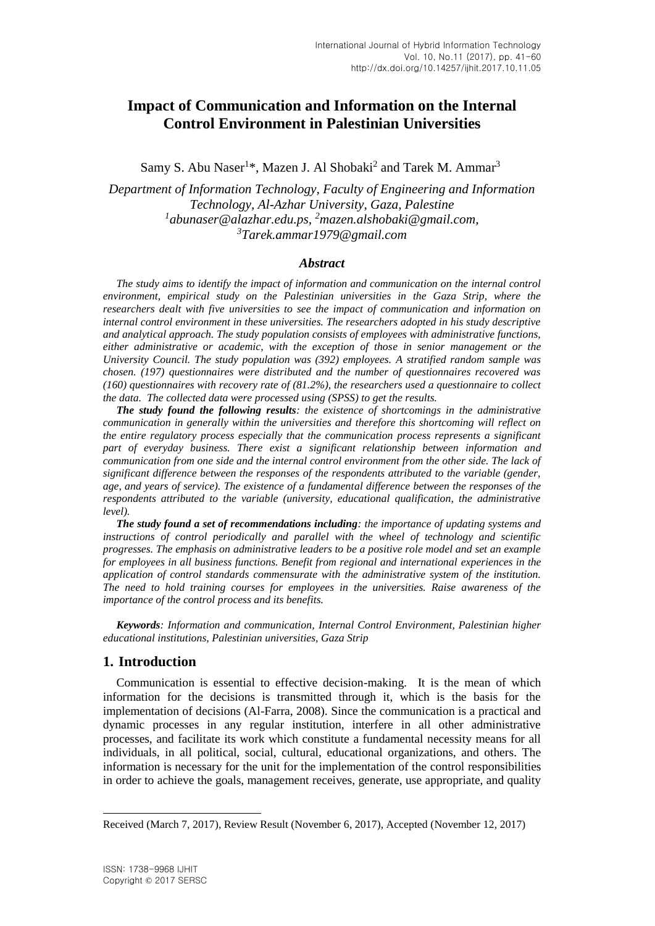# **Impact of Communication and Information on the Internal Control Environment in Palestinian Universities**

Samy S. Abu Naser<sup>1\*</sup>, Mazen J. Al Shobaki<sup>2</sup> and Tarek M. Ammar<sup>3</sup>

*Department of Information Technology, Faculty of Engineering and Information Technology, Al-Azhar University, Gaza, Palestine 1 abunaser@alazhar.edu.ps, <sup>2</sup>[mazen.alshobaki@gmail.com,](mailto:mazen.alshobaki@gmail.com) <sup>3</sup>[Tarek.ammar1979@gmail.com](mailto:Tarek.ammar1979@gmail.com)*

#### *Abstract*

*The study aims to identify the impact of information and communication on the internal control environment, empirical study on the Palestinian universities in the Gaza Strip, where the researchers dealt with five universities to see the impact of communication and information on internal control environment in these universities. The researchers adopted in his study descriptive and analytical approach. The study population consists of employees with administrative functions, either administrative or academic, with the exception of those in senior management or the University Council. The study population was (392) employees. A stratified random sample was chosen. (197) questionnaires were distributed and the number of questionnaires recovered was (160) questionnaires with recovery rate of (81.2%), the researchers used a questionnaire to collect the data. The collected data were processed using (SPSS) to get the results.*

*The study found the following results: the existence of shortcomings in the administrative communication in generally within the universities and therefore this shortcoming will reflect on the entire regulatory process especially that the communication process represents a significant part of everyday business. There exist a significant relationship between information and communication from one side and the internal control environment from the other side. The lack of significant difference between the responses of the respondents attributed to the variable (gender, age, and years of service). The existence of a fundamental difference between the responses of the respondents attributed to the variable (university, educational qualification, the administrative level).*

*The study found a set of recommendations including: the importance of updating systems and instructions of control periodically and parallel with the wheel of technology and scientific progresses. The emphasis on administrative leaders to be a positive role model and set an example for employees in all business functions. Benefit from regional and international experiences in the application of control standards commensurate with the administrative system of the institution. The need to hold training courses for employees in the universities. Raise awareness of the importance of the control process and its benefits.*

*Keywords: Information and communication, Internal Control Environment, Palestinian higher educational institutions, Palestinian universities, Gaza Strip*

## **1. Introduction**

Communication is essential to effective decision-making. It is the mean of which information for the decisions is transmitted through it, which is the basis for the implementation of decisions (Al-Farra, 2008). Since the communication is a practical and dynamic processes in any regular institution, interfere in all other administrative processes, and facilitate its work which constitute a fundamental necessity means for all individuals, in all political, social, cultural, educational organizations, and others. The information is necessary for the unit for the implementation of the control responsibilities in order to achieve the goals, management receives, generate, use appropriate, and quality

l

Received (March 7, 2017), Review Result (November 6, 2017), Accepted (November 12, 2017)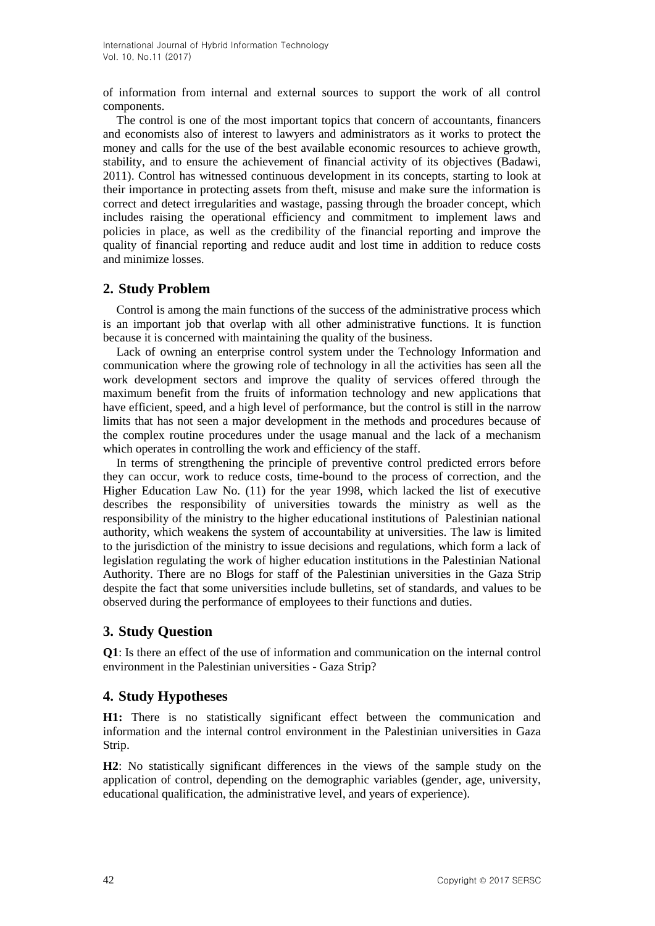of information from internal and external sources to support the work of all control components.

The control is one of the most important topics that concern of accountants, financers and economists also of interest to lawyers and administrators as it works to protect the money and calls for the use of the best available economic resources to achieve growth, stability, and to ensure the achievement of financial activity of its objectives (Badawi, 2011). Control has witnessed continuous development in its concepts, starting to look at their importance in protecting assets from theft, misuse and make sure the information is correct and detect irregularities and wastage, passing through the broader concept, which includes raising the operational efficiency and commitment to implement laws and policies in place, as well as the credibility of the financial reporting and improve the quality of financial reporting and reduce audit and lost time in addition to reduce costs and minimize losses.

# **2. Study Problem**

Control is among the main functions of the success of the administrative process which is an important job that overlap with all other administrative functions. It is function because it is concerned with maintaining the quality of the business.

Lack of owning an enterprise control system under the Technology Information and communication where the growing role of technology in all the activities has seen all the work development sectors and improve the quality of services offered through the maximum benefit from the fruits of information technology and new applications that have efficient, speed, and a high level of performance, but the control is still in the narrow limits that has not seen a major development in the methods and procedures because of the complex routine procedures under the usage manual and the lack of a mechanism which operates in controlling the work and efficiency of the staff.

In terms of strengthening the principle of preventive control predicted errors before they can occur, work to reduce costs, time-bound to the process of correction, and the Higher Education Law No. (11) for the year 1998, which lacked the list of executive describes the responsibility of universities towards the ministry as well as the responsibility of the ministry to the higher educational institutions of Palestinian national authority, which weakens the system of accountability at universities. The law is limited to the jurisdiction of the ministry to issue decisions and regulations, which form a lack of legislation regulating the work of higher education institutions in the Palestinian National Authority. There are no Blogs for staff of the Palestinian universities in the Gaza Strip despite the fact that some universities include bulletins, set of standards, and values to be observed during the performance of employees to their functions and duties.

## **3. Study Question**

**Q1**: Is there an effect of the use of information and communication on the internal control environment in the Palestinian universities - Gaza Strip?

## **4. Study Hypotheses**

**H1:** There is no statistically significant effect between the communication and information and the internal control environment in the Palestinian universities in Gaza Strip.

**H2**: No statistically significant differences in the views of the sample study on the application of control, depending on the demographic variables (gender, age, university, educational qualification, the administrative level, and years of experience).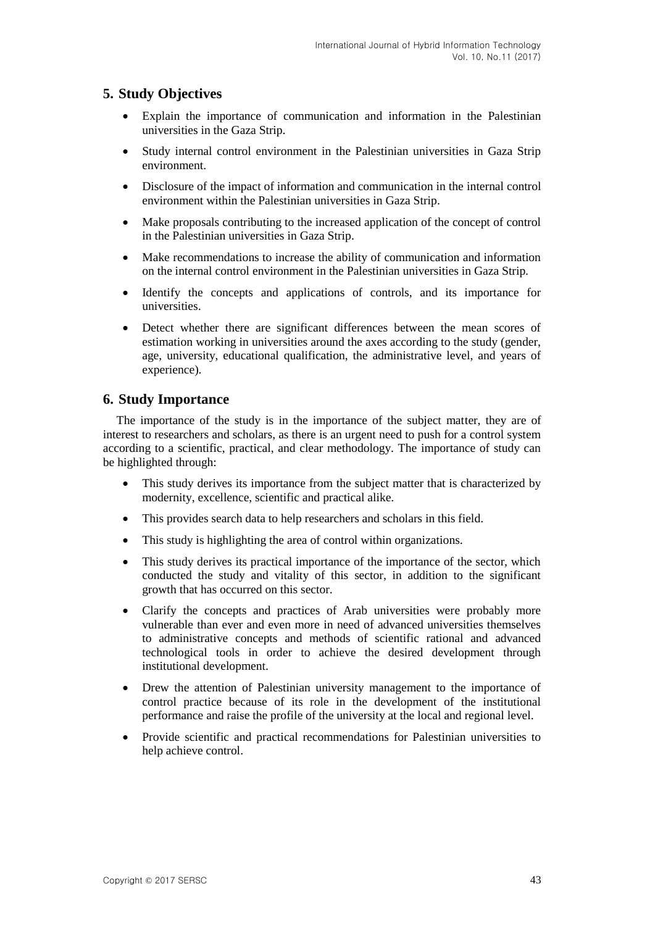# **5. Study Objectives**

- Explain the importance of communication and information in the Palestinian universities in the Gaza Strip.
- Study internal control environment in the Palestinian universities in Gaza Strip environment.
- Disclosure of the impact of information and communication in the internal control environment within the Palestinian universities in Gaza Strip.
- Make proposals contributing to the increased application of the concept of control in the Palestinian universities in Gaza Strip.
- Make recommendations to increase the ability of communication and information on the internal control environment in the Palestinian universities in Gaza Strip.
- Identify the concepts and applications of controls, and its importance for universities.
- Detect whether there are significant differences between the mean scores of estimation working in universities around the axes according to the study (gender, age, university, educational qualification, the administrative level, and years of experience).

## **6. Study Importance**

The importance of the study is in the importance of the subject matter, they are of interest to researchers and scholars, as there is an urgent need to push for a control system according to a scientific, practical, and clear methodology. The importance of study can be highlighted through:

- This study derives its importance from the subject matter that is characterized by modernity, excellence, scientific and practical alike.
- This provides search data to help researchers and scholars in this field.
- This study is highlighting the area of control within organizations.
- This study derives its practical importance of the importance of the sector, which conducted the study and vitality of this sector, in addition to the significant growth that has occurred on this sector.
- Clarify the concepts and practices of Arab universities were probably more vulnerable than ever and even more in need of advanced universities themselves to administrative concepts and methods of scientific rational and advanced technological tools in order to achieve the desired development through institutional development.
- Drew the attention of Palestinian university management to the importance of control practice because of its role in the development of the institutional performance and raise the profile of the university at the local and regional level.
- Provide scientific and practical recommendations for Palestinian universities to help achieve control.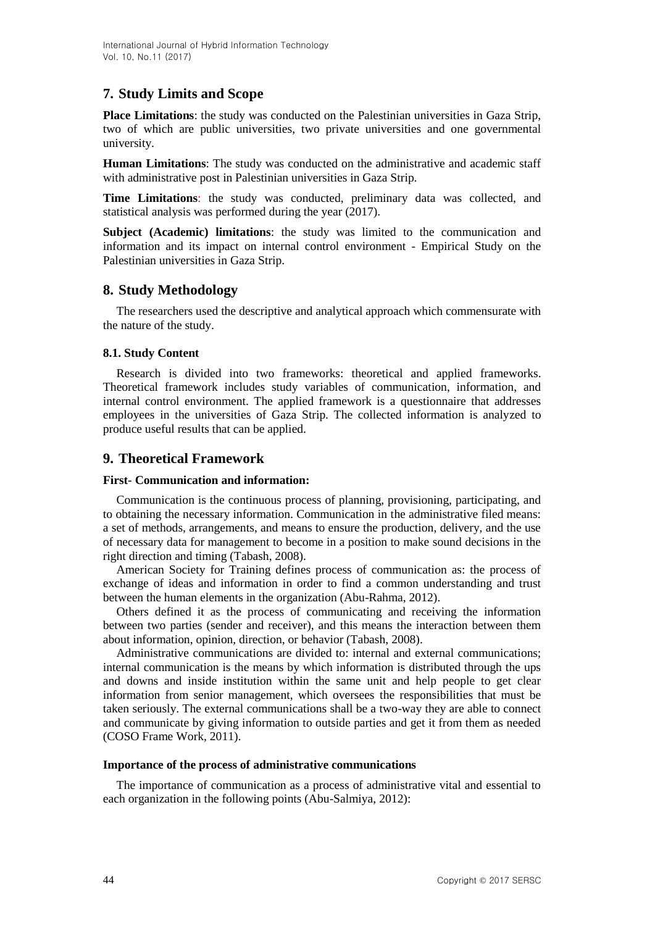# **7. Study Limits and Scope**

**Place Limitations**: the study was conducted on the Palestinian universities in Gaza Strip, two of which are public universities, two private universities and one governmental university.

**Human Limitations**: The study was conducted on the administrative and academic staff with administrative post in Palestinian universities in Gaza Strip.

**Time Limitations**: the study was conducted, preliminary data was collected, and statistical analysis was performed during the year (2017).

**Subject (Academic) limitations**: the study was limited to the communication and information and its impact on internal control environment - Empirical Study on the Palestinian universities in Gaza Strip.

## **8. Study Methodology**

The researchers used the descriptive and analytical approach which commensurate with the nature of the study.

#### **8.1. Study Content**

Research is divided into two frameworks: theoretical and applied frameworks. Theoretical framework includes study variables of communication, information, and internal control environment. The applied framework is a questionnaire that addresses employees in the universities of Gaza Strip. The collected information is analyzed to produce useful results that can be applied.

## **9. Theoretical Framework**

#### **First- Communication and information:**

Communication is the continuous process of planning, provisioning, participating, and to obtaining the necessary information. Communication in the administrative filed means: a set of methods, arrangements, and means to ensure the production, delivery, and the use of necessary data for management to become in a position to make sound decisions in the right direction and timing (Tabash, 2008).

American Society for Training defines process of communication as: the process of exchange of ideas and information in order to find a common understanding and trust between the human elements in the organization (Abu-Rahma, 2012).

Others defined it as the process of communicating and receiving the information between two parties (sender and receiver), and this means the interaction between them about information, opinion, direction, or behavior (Tabash, 2008).

Administrative communications are divided to: internal and external communications; internal communication is the means by which information is distributed through the ups and downs and inside institution within the same unit and help people to get clear information from senior management, which oversees the responsibilities that must be taken seriously. The external communications shall be a two-way they are able to connect and communicate by giving information to outside parties and get it from them as needed (COSO Frame Work, 2011).

#### **Importance of the process of administrative communications**

The importance of communication as a process of administrative vital and essential to each organization in the following points (Abu-Salmiya, 2012):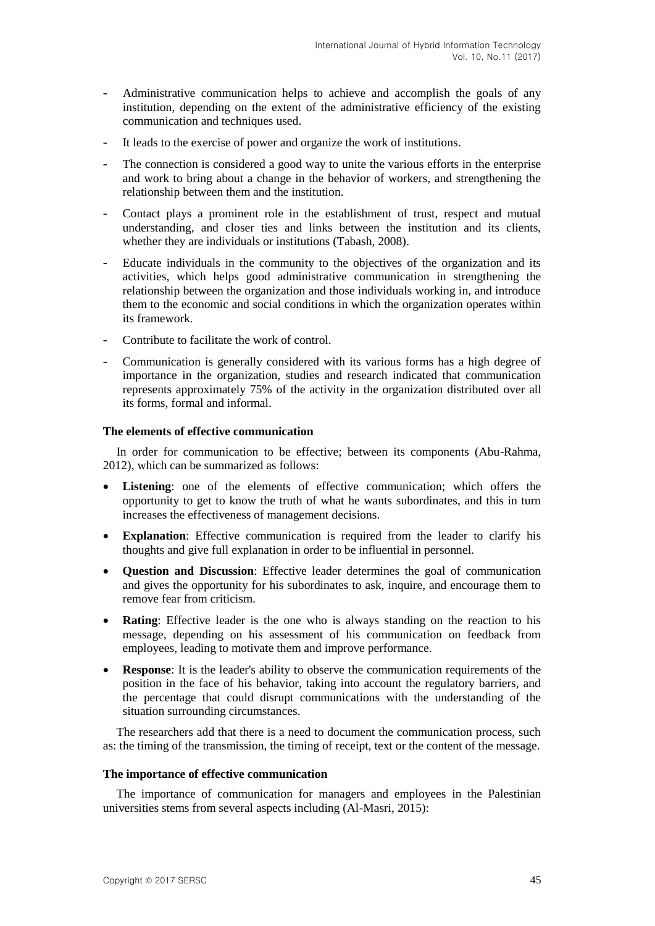- Administrative communication helps to achieve and accomplish the goals of any institution, depending on the extent of the administrative efficiency of the existing communication and techniques used.
- It leads to the exercise of power and organize the work of institutions.
- The connection is considered a good way to unite the various efforts in the enterprise and work to bring about a change in the behavior of workers, and strengthening the relationship between them and the institution.
- Contact plays a prominent role in the establishment of trust, respect and mutual understanding, and closer ties and links between the institution and its clients, whether they are individuals or institutions (Tabash, 2008).
- Educate individuals in the community to the objectives of the organization and its activities, which helps good administrative communication in strengthening the relationship between the organization and those individuals working in, and introduce them to the economic and social conditions in which the organization operates within its framework.
- Contribute to facilitate the work of control.
- Communication is generally considered with its various forms has a high degree of importance in the organization, studies and research indicated that communication represents approximately 75% of the activity in the organization distributed over all its forms, formal and informal.

#### **The elements of effective communication**

In order for communication to be effective; between its components (Abu-Rahma, 2012), which can be summarized as follows:

- **Listening**: one of the elements of effective communication; which offers the opportunity to get to know the truth of what he wants subordinates, and this in turn increases the effectiveness of management decisions.
- **Explanation**: Effective communication is required from the leader to clarify his thoughts and give full explanation in order to be influential in personnel.
- **Question and Discussion**: Effective leader determines the goal of communication and gives the opportunity for his subordinates to ask, inquire, and encourage them to remove fear from criticism.
- **Rating**: Effective leader is the one who is always standing on the reaction to his message, depending on his assessment of his communication on feedback from employees, leading to motivate them and improve performance.
- **Response**: It is the leader's ability to observe the communication requirements of the position in the face of his behavior, taking into account the regulatory barriers, and the percentage that could disrupt communications with the understanding of the situation surrounding circumstances.

The researchers add that there is a need to document the communication process, such as: the timing of the transmission, the timing of receipt, text or the content of the message.

#### **The importance of effective communication**

The importance of communication for managers and employees in the Palestinian universities stems from several aspects including (Al-Masri, 2015):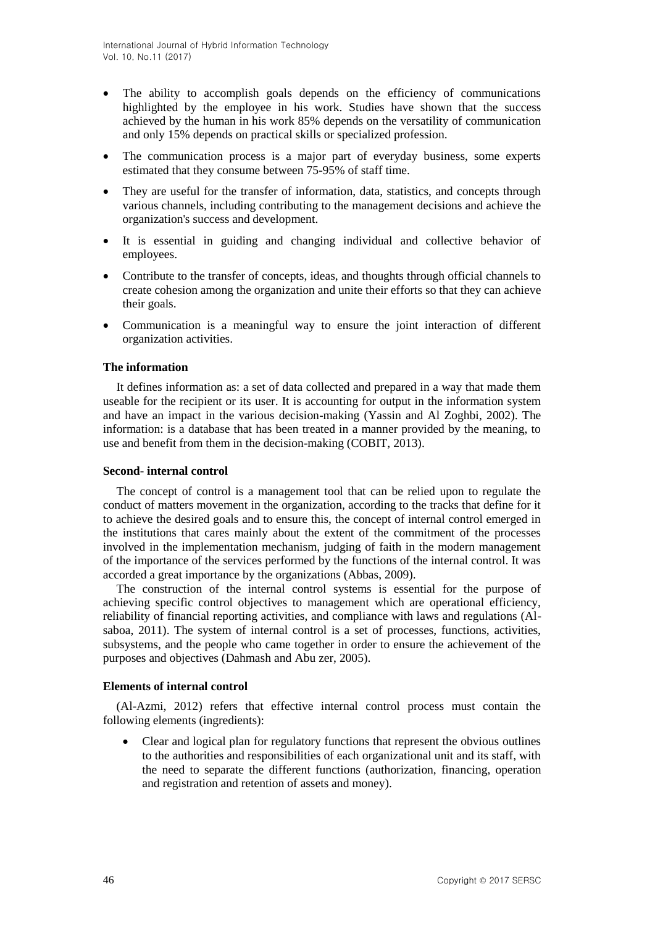- The ability to accomplish goals depends on the efficiency of communications highlighted by the employee in his work. Studies have shown that the success achieved by the human in his work 85% depends on the versatility of communication and only 15% depends on practical skills or specialized profession.
- The communication process is a major part of everyday business, some experts estimated that they consume between 75-95% of staff time.
- They are useful for the transfer of information, data, statistics, and concepts through various channels, including contributing to the management decisions and achieve the organization's success and development.
- It is essential in guiding and changing individual and collective behavior of employees.
- Contribute to the transfer of concepts, ideas, and thoughts through official channels to create cohesion among the organization and unite their efforts so that they can achieve their goals.
- Communication is a meaningful way to ensure the joint interaction of different organization activities.

#### **The information**

It defines information as: a set of data collected and prepared in a way that made them useable for the recipient or its user. It is accounting for output in the information system and have an impact in the various decision-making (Yassin and Al Zoghbi, 2002). The information: is a database that has been treated in a manner provided by the meaning, to use and benefit from them in the decision-making (COBIT, 2013).

#### **Second- internal control**

The concept of control is a management tool that can be relied upon to regulate the conduct of matters movement in the organization, according to the tracks that define for it to achieve the desired goals and to ensure this, the concept of internal control emerged in the institutions that cares mainly about the extent of the commitment of the processes involved in the implementation mechanism, judging of faith in the modern management of the importance of the services performed by the functions of the internal control. It was accorded a great importance by the organizations (Abbas, 2009).

The construction of the internal control systems is essential for the purpose of achieving specific control objectives to management which are operational efficiency, reliability of financial reporting activities, and compliance with laws and regulations (Alsaboa, 2011). The system of internal control is a set of processes, functions, activities, subsystems, and the people who came together in order to ensure the achievement of the purposes and objectives (Dahmash and Abu zer, 2005).

#### **Elements of internal control**

(Al-Azmi, 2012) refers that effective internal control process must contain the following elements (ingredients):

 Clear and logical plan for regulatory functions that represent the obvious outlines to the authorities and responsibilities of each organizational unit and its staff, with the need to separate the different functions (authorization, financing, operation and registration and retention of assets and money).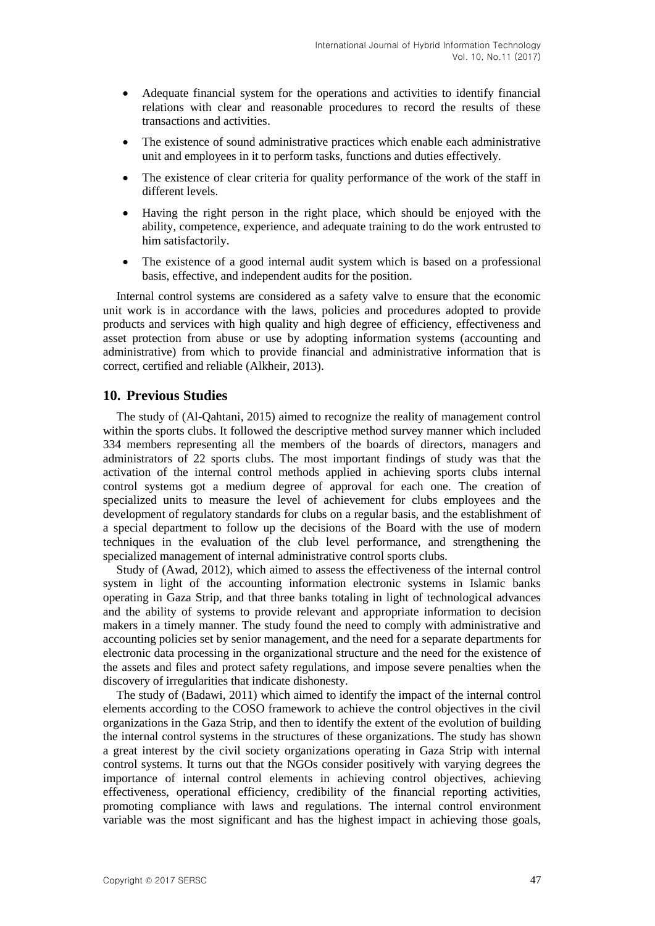- Adequate financial system for the operations and activities to identify financial relations with clear and reasonable procedures to record the results of these transactions and activities.
- The existence of sound administrative practices which enable each administrative unit and employees in it to perform tasks, functions and duties effectively.
- The existence of clear criteria for quality performance of the work of the staff in different levels.
- Having the right person in the right place, which should be enjoyed with the ability, competence, experience, and adequate training to do the work entrusted to him satisfactorily.
- The existence of a good internal audit system which is based on a professional basis, effective, and independent audits for the position.

Internal control systems are considered as a safety valve to ensure that the economic unit work is in accordance with the laws, policies and procedures adopted to provide products and services with high quality and high degree of efficiency, effectiveness and asset protection from abuse or use by adopting information systems (accounting and administrative) from which to provide financial and administrative information that is correct, certified and reliable (Alkheir, 2013).

## **10. Previous Studies**

The study of (Al-Qahtani, 2015) aimed to recognize the reality of management control within the sports clubs. It followed the descriptive method survey manner which included 334 members representing all the members of the boards of directors, managers and administrators of 22 sports clubs. The most important findings of study was that the activation of the internal control methods applied in achieving sports clubs internal control systems got a medium degree of approval for each one. The creation of specialized units to measure the level of achievement for clubs employees and the development of regulatory standards for clubs on a regular basis, and the establishment of a special department to follow up the decisions of the Board with the use of modern techniques in the evaluation of the club level performance, and strengthening the specialized management of internal administrative control sports clubs.

Study of (Awad, 2012), which aimed to assess the effectiveness of the internal control system in light of the accounting information electronic systems in Islamic banks operating in Gaza Strip, and that three banks totaling in light of technological advances and the ability of systems to provide relevant and appropriate information to decision makers in a timely manner. The study found the need to comply with administrative and accounting policies set by senior management, and the need for a separate departments for electronic data processing in the organizational structure and the need for the existence of the assets and files and protect safety regulations, and impose severe penalties when the discovery of irregularities that indicate dishonesty.

The study of (Badawi, 2011) which aimed to identify the impact of the internal control elements according to the COSO framework to achieve the control objectives in the civil organizations in the Gaza Strip, and then to identify the extent of the evolution of building the internal control systems in the structures of these organizations. The study has shown a great interest by the civil society organizations operating in Gaza Strip with internal control systems. It turns out that the NGOs consider positively with varying degrees the importance of internal control elements in achieving control objectives, achieving effectiveness, operational efficiency, credibility of the financial reporting activities, promoting compliance with laws and regulations. The internal control environment variable was the most significant and has the highest impact in achieving those goals,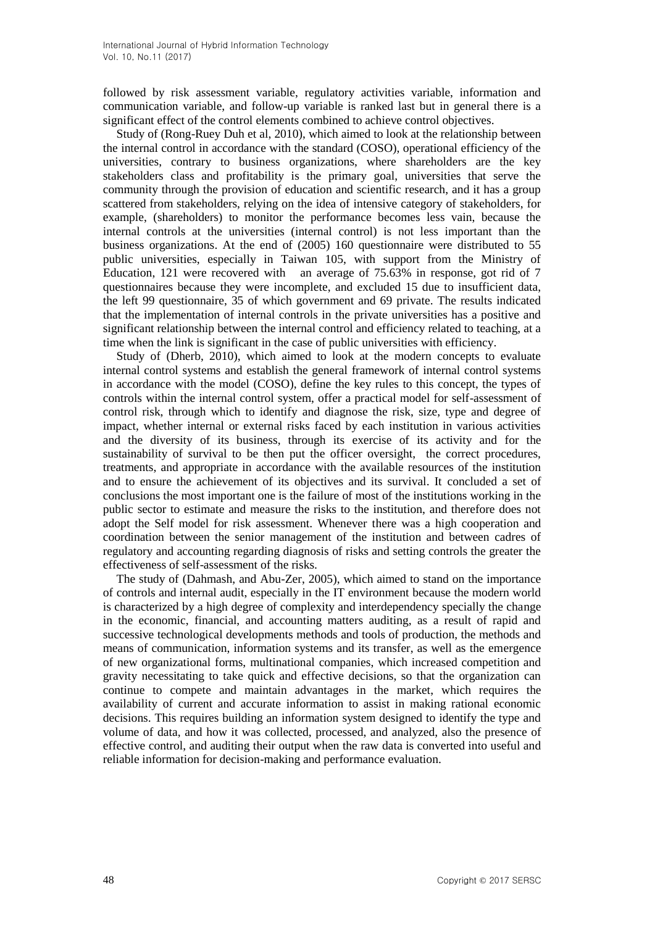followed by risk assessment variable, regulatory activities variable, information and communication variable, and follow-up variable is ranked last but in general there is a significant effect of the control elements combined to achieve control objectives.

Study of (Rong-Ruey Duh et al, 2010), which aimed to look at the relationship between the internal control in accordance with the standard (COSO), operational efficiency of the universities, contrary to business organizations, where shareholders are the key stakeholders class and profitability is the primary goal, universities that serve the community through the provision of education and scientific research, and it has a group scattered from stakeholders, relying on the idea of intensive category of stakeholders, for example, (shareholders) to monitor the performance becomes less vain, because the internal controls at the universities (internal control) is not less important than the business organizations. At the end of (2005) 160 questionnaire were distributed to 55 public universities, especially in Taiwan 105, with support from the Ministry of Education, 121 were recovered with an average of 75.63% in response, got rid of 7 questionnaires because they were incomplete, and excluded 15 due to insufficient data, the left 99 questionnaire, 35 of which government and 69 private. The results indicated that the implementation of internal controls in the private universities has a positive and significant relationship between the internal control and efficiency related to teaching, at a time when the link is significant in the case of public universities with efficiency.

Study of (Dherb, 2010), which aimed to look at the modern concepts to evaluate internal control systems and establish the general framework of internal control systems in accordance with the model (COSO), define the key rules to this concept, the types of controls within the internal control system, offer a practical model for self-assessment of control risk, through which to identify and diagnose the risk, size, type and degree of impact, whether internal or external risks faced by each institution in various activities and the diversity of its business, through its exercise of its activity and for the sustainability of survival to be then put the officer oversight, the correct procedures, treatments, and appropriate in accordance with the available resources of the institution and to ensure the achievement of its objectives and its survival. It concluded a set of conclusions the most important one is the failure of most of the institutions working in the public sector to estimate and measure the risks to the institution, and therefore does not adopt the Self model for risk assessment. Whenever there was a high cooperation and coordination between the senior management of the institution and between cadres of regulatory and accounting regarding diagnosis of risks and setting controls the greater the effectiveness of self-assessment of the risks.

The study of (Dahmash, and Abu-Zer, 2005), which aimed to stand on the importance of controls and internal audit, especially in the IT environment because the modern world is characterized by a high degree of complexity and interdependency specially the change in the economic, financial, and accounting matters auditing, as a result of rapid and successive technological developments methods and tools of production, the methods and means of communication, information systems and its transfer, as well as the emergence of new organizational forms, multinational companies, which increased competition and gravity necessitating to take quick and effective decisions, so that the organization can continue to compete and maintain advantages in the market, which requires the availability of current and accurate information to assist in making rational economic decisions. This requires building an information system designed to identify the type and volume of data, and how it was collected, processed, and analyzed, also the presence of effective control, and auditing their output when the raw data is converted into useful and reliable information for decision-making and performance evaluation.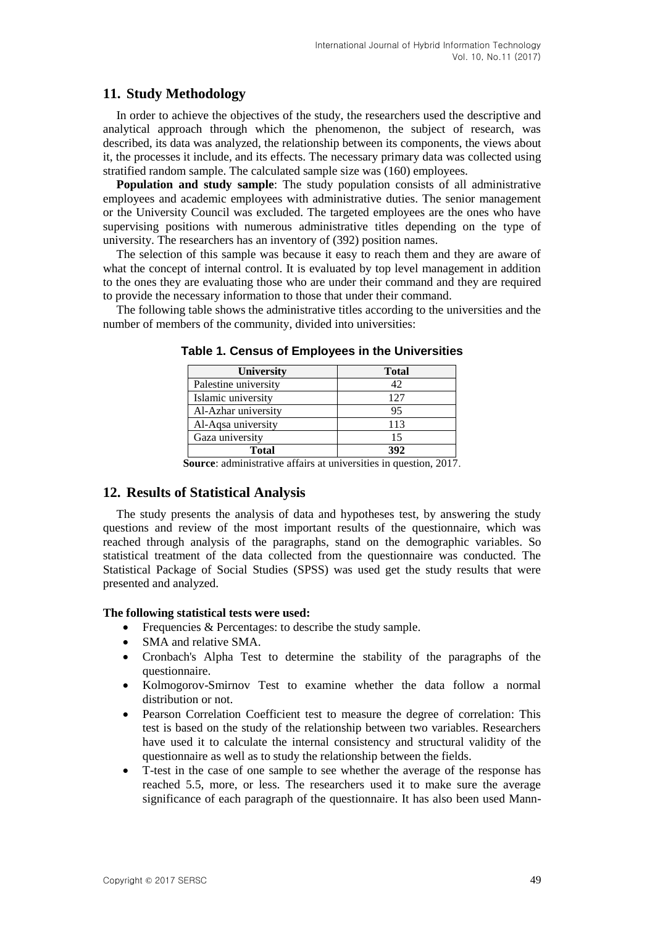## **11. Study Methodology**

In order to achieve the objectives of the study, the researchers used the descriptive and analytical approach through which the phenomenon, the subject of research, was described, its data was analyzed, the relationship between its components, the views about it, the processes it include, and its effects. The necessary primary data was collected using stratified random sample. The calculated sample size was (160) employees.

**Population and study sample**: The study population consists of all administrative employees and academic employees with administrative duties. The senior management or the University Council was excluded. The targeted employees are the ones who have supervising positions with numerous administrative titles depending on the type of university. The researchers has an inventory of (392) position names.

The selection of this sample was because it easy to reach them and they are aware of what the concept of internal control. It is evaluated by top level management in addition to the ones they are evaluating those who are under their command and they are required to provide the necessary information to those that under their command.

The following table shows the administrative titles according to the universities and the number of members of the community, divided into universities:

| <b>University</b>    | <b>Total</b> |  |  |  |
|----------------------|--------------|--|--|--|
| Palestine university | 42           |  |  |  |
| Islamic university   | 127          |  |  |  |
| Al-Azhar university  | 95           |  |  |  |
| Al-Aqsa university   | 113          |  |  |  |
| Gaza university      | 15           |  |  |  |
| Total                | 392          |  |  |  |

**Table 1. Census of Employees in the Universities**

**Source**: administrative affairs at universities in question, 2017.

# **12. Results of Statistical Analysis**

The study presents the analysis of data and hypotheses test, by answering the study questions and review of the most important results of the questionnaire, which was reached through analysis of the paragraphs, stand on the demographic variables. So statistical treatment of the data collected from the questionnaire was conducted. The Statistical Package of Social Studies (SPSS) was used get the study results that were presented and analyzed.

#### **The following statistical tests were used:**

- Frequencies & Percentages: to describe the study sample.
- SMA and relative SMA.
- Cronbach's Alpha Test to determine the stability of the paragraphs of the questionnaire.
- Kolmogorov-Smirnov Test to examine whether the data follow a normal distribution or not.
- Pearson Correlation Coefficient test to measure the degree of correlation: This test is based on the study of the relationship between two variables. Researchers have used it to calculate the internal consistency and structural validity of the questionnaire as well as to study the relationship between the fields.
- T-test in the case of one sample to see whether the average of the response has reached 5.5, more, or less. The researchers used it to make sure the average significance of each paragraph of the questionnaire. It has also been used Mann-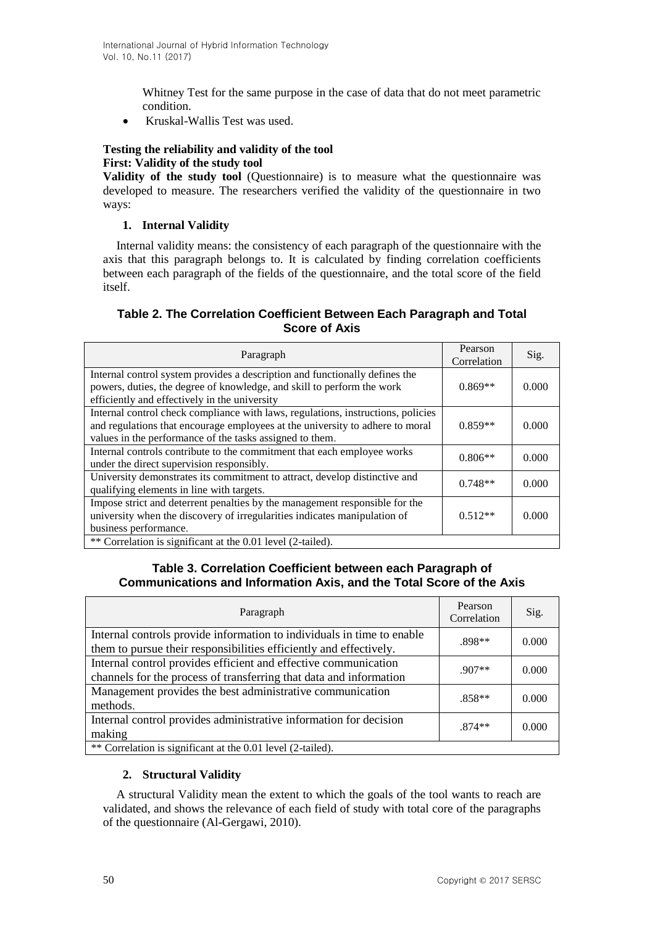Whitney Test for the same purpose in the case of data that do not meet parametric condition.

Kruskal-Wallis Test was used.

## **Testing the reliability and validity of the tool First: Validity of the study tool**

**Validity of the study tool** (Questionnaire) is to measure what the questionnaire was developed to measure. The researchers verified the validity of the questionnaire in two ways:

## **1. Internal Validity**

Internal validity means: the consistency of each paragraph of the questionnaire with the axis that this paragraph belongs to. It is calculated by finding correlation coefficients between each paragraph of the fields of the questionnaire, and the total score of the field itself.

## **Table 2. The Correlation Coefficient Between Each Paragraph and Total Score of Axis**

| Paragraph                                                                                                                                                                                                                     | Pearson<br>Correlation | Sig.  |
|-------------------------------------------------------------------------------------------------------------------------------------------------------------------------------------------------------------------------------|------------------------|-------|
| Internal control system provides a description and functionally defines the<br>powers, duties, the degree of knowledge, and skill to perform the work<br>efficiently and effectively in the university                        | $0.869**$              | 0.000 |
| Internal control check compliance with laws, regulations, instructions, policies<br>and regulations that encourage employees at the university to adhere to moral<br>values in the performance of the tasks assigned to them. | $0.859**$              | 0.000 |
| Internal controls contribute to the commitment that each employee works<br>under the direct supervision responsibly.                                                                                                          | $0.806**$              | 0.000 |
| University demonstrates its commitment to attract, develop distinctive and<br>qualifying elements in line with targets.                                                                                                       | $0.748**$              | 0.000 |
| Impose strict and deterrent penalties by the management responsible for the<br>university when the discovery of irregularities indicates manipulation of<br>business performance.                                             | $0.512**$              | 0.000 |
| ** Correlation is significant at the 0.01 level (2-tailed).                                                                                                                                                                   |                        |       |

## **Table 3. Correlation Coefficient between each Paragraph of Communications and Information Axis, and the Total Score of the Axis**

| Paragraph                                                                                                                                    | Pearson<br>Correlation | Sig.  |
|----------------------------------------------------------------------------------------------------------------------------------------------|------------------------|-------|
| Internal controls provide information to individuals in time to enable<br>them to pursue their responsibilities efficiently and effectively. | $.898**$               | 0.000 |
| Internal control provides efficient and effective communication<br>channels for the process of transferring that data and information        | $.907**$               | 0.000 |
| Management provides the best administrative communication<br>methods.                                                                        | $.858**$               | 0.000 |
| Internal control provides administrative information for decision<br>making                                                                  | $.874**$               | 0.000 |
| ** Correlation is significant at the 0.01 level (2-tailed).                                                                                  |                        |       |

## **2. Structural Validity**

A structural Validity mean the extent to which the goals of the tool wants to reach are validated, and shows the relevance of each field of study with total core of the paragraphs of the questionnaire (Al-Gergawi, 2010).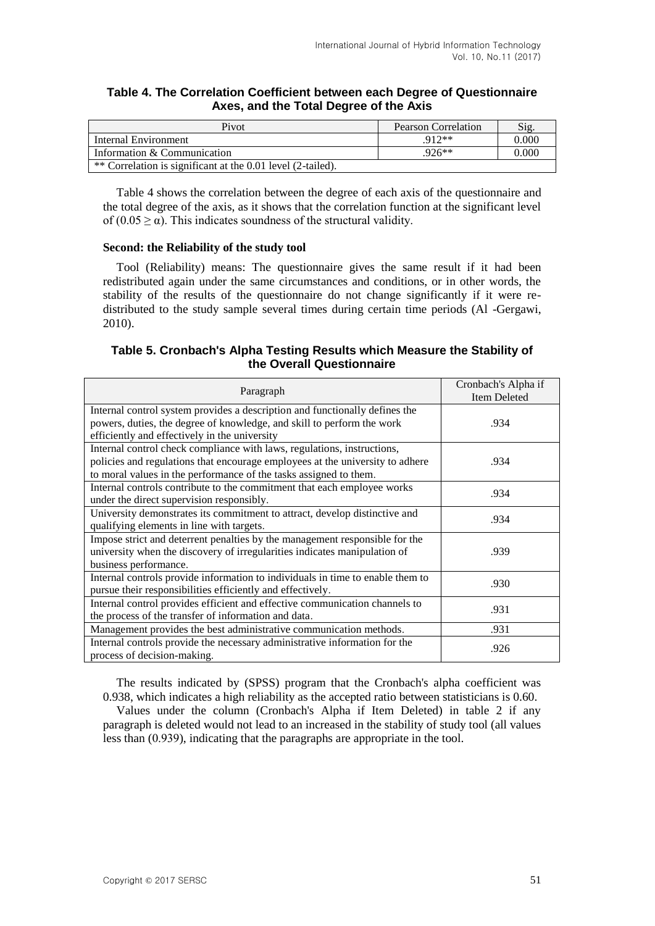| Pivot                                                       | Pearson Correlation | Sig.  |
|-------------------------------------------------------------|---------------------|-------|
| Internal Environment                                        | $912**$             | 0.000 |
| Information & Communication                                 | $.926**$            | 0.000 |
| ** Correlation is significant at the 0.01 level (2-tailed). |                     |       |

### **Table 4. The Correlation Coefficient between each Degree of Questionnaire Axes, and the Total Degree of the Axis**

Table 4 shows the correlation between the degree of each axis of the questionnaire and the total degree of the axis, as it shows that the correlation function at the significant level of  $(0.05 \ge \alpha)$ . This indicates soundness of the structural validity.

#### **Second: the Reliability of the study tool**

Tool (Reliability) means: The questionnaire gives the same result if it had been redistributed again under the same circumstances and conditions, or in other words, the stability of the results of the questionnaire do not change significantly if it were redistributed to the study sample several times during certain time periods (Al -Gergawi, 2010).

#### **Table 5. Cronbach's Alpha Testing Results which Measure the Stability of the Overall Questionnaire**

|                                                                                | Cronbach's Alpha if |
|--------------------------------------------------------------------------------|---------------------|
| Paragraph                                                                      | Item Deleted        |
| Internal control system provides a description and functionally defines the    |                     |
| powers, duties, the degree of knowledge, and skill to perform the work         | .934                |
| efficiently and effectively in the university                                  |                     |
| Internal control check compliance with laws, regulations, instructions,        |                     |
| policies and regulations that encourage employees at the university to adhere  | .934                |
| to moral values in the performance of the tasks assigned to them.              |                     |
| Internal controls contribute to the commitment that each employee works        | .934                |
| under the direct supervision responsibly.                                      |                     |
| University demonstrates its commitment to attract, develop distinctive and     | .934                |
| qualifying elements in line with targets.                                      |                     |
| Impose strict and deterrent penalties by the management responsible for the    |                     |
| university when the discovery of irregularities indicates manipulation of      | .939                |
| business performance.                                                          |                     |
| Internal controls provide information to individuals in time to enable them to | .930                |
| pursue their responsibilities efficiently and effectively.                     |                     |
| Internal control provides efficient and effective communication channels to    | .931                |
| the process of the transfer of information and data.                           |                     |
| Management provides the best administrative communication methods.             | .931                |
| Internal controls provide the necessary administrative information for the     | .926                |
| process of decision-making.                                                    |                     |

The results indicated by (SPSS) program that the Cronbach's alpha coefficient was 0.938, which indicates a high reliability as the accepted ratio between statisticians is 0.60.

Values under the column (Cronbach's Alpha if Item Deleted) in table 2 if any paragraph is deleted would not lead to an increased in the stability of study tool (all values less than (0.939), indicating that the paragraphs are appropriate in the tool.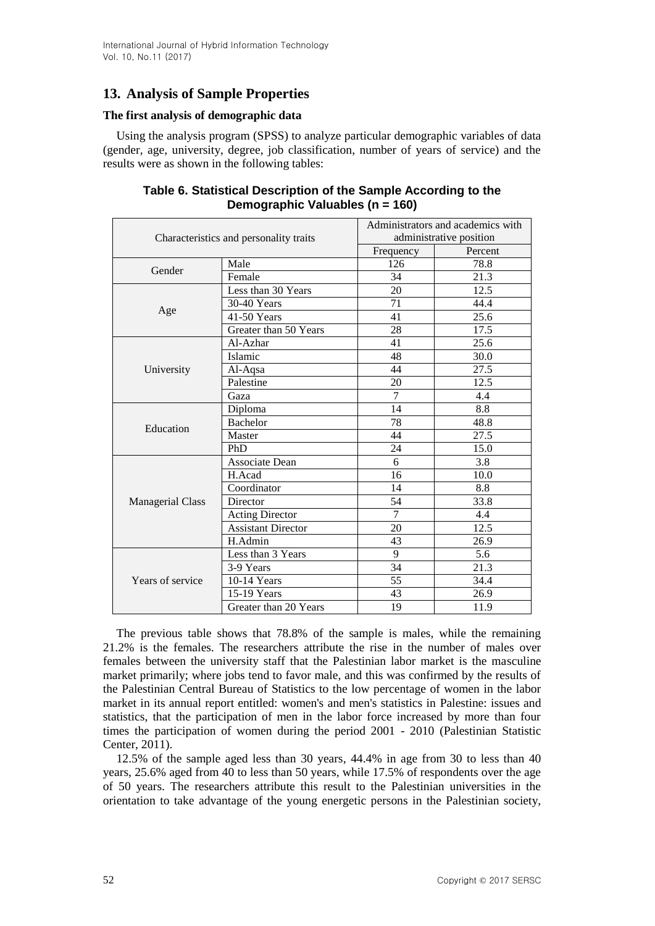# **13. Analysis of Sample Properties**

## **The first analysis of demographic data**

Using the analysis program (SPSS) to analyze particular demographic variables of data (gender, age, university, degree, job classification, number of years of service) and the results were as shown in the following tables:

| Characteristics and personality traits |                           |                | Administrators and academics with<br>administrative position |  |  |  |
|----------------------------------------|---------------------------|----------------|--------------------------------------------------------------|--|--|--|
|                                        |                           | Frequency      | Percent                                                      |  |  |  |
| Gender                                 | Male                      | 126            | 78.8                                                         |  |  |  |
|                                        | Female                    | 34             | 21.3                                                         |  |  |  |
|                                        | Less than 30 Years        | 20             | 12.5                                                         |  |  |  |
|                                        | 30-40 Years               | 71             | 44.4                                                         |  |  |  |
| Age                                    | 41-50 Years               | 41             | 25.6                                                         |  |  |  |
|                                        | Greater than 50 Years     | 28             | 17.5                                                         |  |  |  |
|                                        | Al-Azhar                  | 41             | 25.6                                                         |  |  |  |
|                                        | Islamic                   | 48             | 30.0                                                         |  |  |  |
| University                             | Al-Aqsa                   | 44             | 27.5                                                         |  |  |  |
|                                        | Palestine                 | 20             | 12.5                                                         |  |  |  |
|                                        | Gaza                      | $\overline{7}$ | 4.4                                                          |  |  |  |
|                                        | Diploma                   | 14             | 8.8                                                          |  |  |  |
| Education                              | <b>Bachelor</b>           | 78             | 48.8                                                         |  |  |  |
|                                        | Master                    | 44             | 27.5                                                         |  |  |  |
|                                        | PhD                       | 24             | 15.0                                                         |  |  |  |
|                                        | <b>Associate Dean</b>     | 6              | 3.8                                                          |  |  |  |
|                                        | H.Acad                    | 16             | 10.0                                                         |  |  |  |
|                                        | Coordinator               | 14             | 8.8                                                          |  |  |  |
| <b>Managerial Class</b>                | Director                  | 54             | 33.8                                                         |  |  |  |
|                                        | <b>Acting Director</b>    | $\overline{7}$ | 4.4                                                          |  |  |  |
|                                        | <b>Assistant Director</b> | 20             | 12.5                                                         |  |  |  |
|                                        | H.Admin                   | 43             | 26.9                                                         |  |  |  |
|                                        | Less than 3 Years         | 9              | 5.6                                                          |  |  |  |
|                                        | 3-9 Years                 | 34             | 21.3                                                         |  |  |  |
| Years of service                       | 10-14 Years               | 55             | 34.4                                                         |  |  |  |
|                                        | 15-19 Years               | 43             | 26.9                                                         |  |  |  |
|                                        | Greater than 20 Years     | 19             | 11.9                                                         |  |  |  |

| Table 6. Statistical Description of the Sample According to the |  |
|-----------------------------------------------------------------|--|
| Demographic Valuables (n = 160)                                 |  |

The previous table shows that 78.8% of the sample is males, while the remaining 21.2% is the females. The researchers attribute the rise in the number of males over females between the university staff that the Palestinian labor market is the masculine market primarily; where jobs tend to favor male, and this was confirmed by the results of the Palestinian Central Bureau of Statistics to the low percentage of women in the labor market in its annual report entitled: women's and men's statistics in Palestine: issues and statistics, that the participation of men in the labor force increased by more than four times the participation of women during the period 2001 - 2010 (Palestinian Statistic Center, 2011).

12.5% of the sample aged less than 30 years, 44.4% in age from 30 to less than 40 years, 25.6% aged from 40 to less than 50 years, while 17.5% of respondents over the age of 50 years. The researchers attribute this result to the Palestinian universities in the orientation to take advantage of the young energetic persons in the Palestinian society,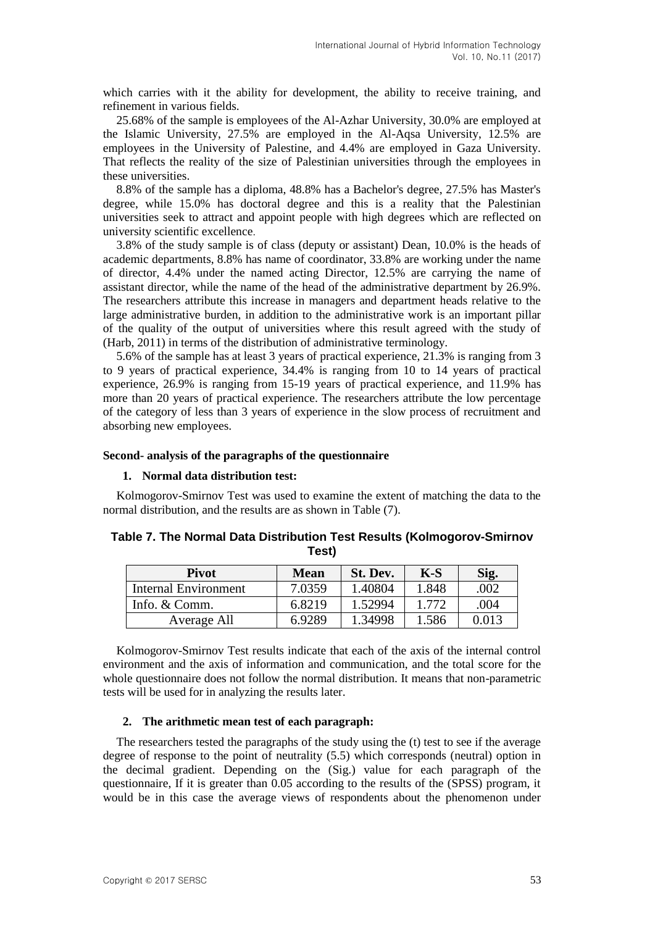which carries with it the ability for development, the ability to receive training, and refinement in various fields.

25.68% of the sample is employees of the Al-Azhar University, 30.0% are employed at the Islamic University, 27.5% are employed in the Al-Aqsa University, 12.5% are employees in the University of Palestine, and 4.4% are employed in Gaza University. That reflects the reality of the size of Palestinian universities through the employees in these universities.

8.8% of the sample has a diploma, 48.8% has a Bachelor's degree, 27.5% has Master's degree, while 15.0% has doctoral degree and this is a reality that the Palestinian universities seek to attract and appoint people with high degrees which are reflected on university scientific excellence.

3.8% of the study sample is of class (deputy or assistant) Dean, 10.0% is the heads of academic departments, 8.8% has name of coordinator, 33.8% are working under the name of director, 4.4% under the named acting Director, 12.5% are carrying the name of assistant director, while the name of the head of the administrative department by 26.9%. The researchers attribute this increase in managers and department heads relative to the large administrative burden, in addition to the administrative work is an important pillar of the quality of the output of universities where this result agreed with the study of (Harb, 2011) in terms of the distribution of administrative terminology.

5.6% of the sample has at least 3 years of practical experience, 21.3% is ranging from 3 to 9 years of practical experience, 34.4% is ranging from 10 to 14 years of practical experience, 26.9% is ranging from 15-19 years of practical experience, and 11.9% has more than 20 years of practical experience. The researchers attribute the low percentage of the category of less than 3 years of experience in the slow process of recruitment and absorbing new employees.

#### **Second- analysis of the paragraphs of the questionnaire**

#### **1. Normal data distribution test:**

Kolmogorov-Smirnov Test was used to examine the extent of matching the data to the normal distribution, and the results are as shown in Table (7).

| Table 7. The Normal Data Distribution Test Results (Kolmogorov-Smirnov |
|------------------------------------------------------------------------|
| Test)                                                                  |

| <b>Pivot</b>         | <b>Mean</b> | St. Dev. | $K-S$ | Sig.  |
|----------------------|-------------|----------|-------|-------|
| Internal Environment | 7.0359      | 1.40804  | 1.848 | .002  |
| Info. $& Comm.$      | 6.8219      | 1.52994  | 1 772 | .004  |
| Average All          | 6.9289      | 1.34998  | 1.586 | 0.013 |

Kolmogorov-Smirnov Test results indicate that each of the axis of the internal control environment and the axis of information and communication, and the total score for the whole questionnaire does not follow the normal distribution. It means that non-parametric tests will be used for in analyzing the results later.

#### **2. The arithmetic mean test of each paragraph:**

The researchers tested the paragraphs of the study using the (t) test to see if the average degree of response to the point of neutrality (5.5) which corresponds (neutral) option in the decimal gradient. Depending on the (Sig.) value for each paragraph of the questionnaire, If it is greater than 0.05 according to the results of the (SPSS) program, it would be in this case the average views of respondents about the phenomenon under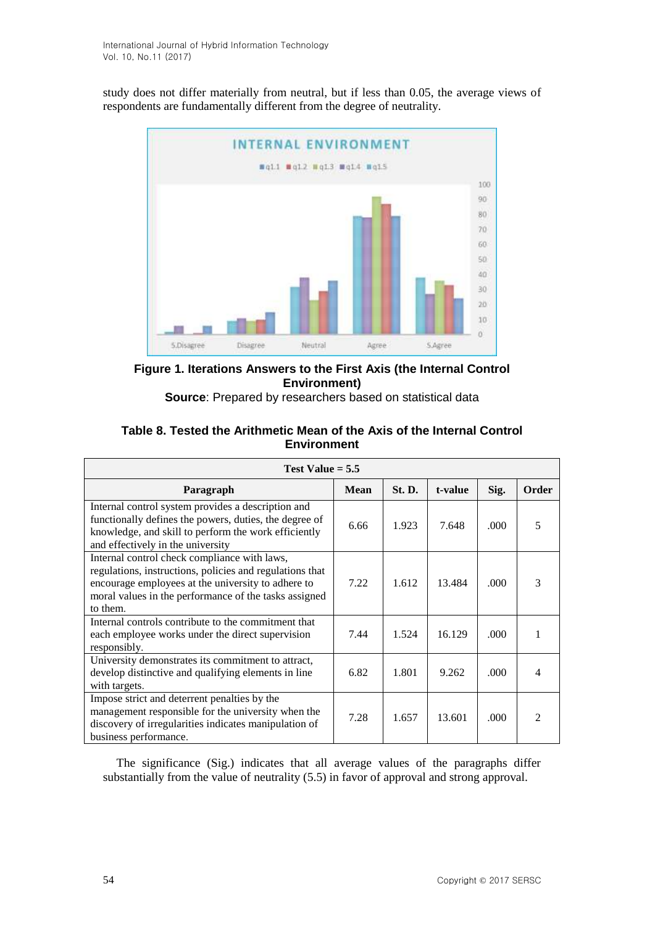study does not differ materially from neutral, but if less than 0.05, the average views of respondents are fundamentally different from the degree of neutrality.



**Figure 1. Iterations Answers to the First Axis (the Internal Control Environment)**

**Source**: Prepared by researchers based on statistical data

## **Table 8. Tested the Arithmetic Mean of the Axis of the Internal Control Environment**

| Test Value $= 5.5$                                                                                                                                                                                                                  |             |               |         |       |       |  |
|-------------------------------------------------------------------------------------------------------------------------------------------------------------------------------------------------------------------------------------|-------------|---------------|---------|-------|-------|--|
| Paragraph                                                                                                                                                                                                                           | <b>Mean</b> | <b>St. D.</b> | t-value | Sig.  | Order |  |
| Internal control system provides a description and<br>functionally defines the powers, duties, the degree of<br>knowledge, and skill to perform the work efficiently<br>and effectively in the university                           | 6.66        | 1.923         | 7.648   | .000. | 5     |  |
| Internal control check compliance with laws,<br>regulations, instructions, policies and regulations that<br>encourage employees at the university to adhere to<br>moral values in the performance of the tasks assigned<br>to them. | 7.22        | 1.612         | 13.484  | .000. | 3     |  |
| Internal controls contribute to the commitment that<br>each employee works under the direct supervision<br>responsibly.                                                                                                             | 7.44        | 1.524         | 16.129  | .000. |       |  |
| University demonstrates its commitment to attract,<br>develop distinctive and qualifying elements in line<br>with targets.                                                                                                          | 6.82        | 1.801         | 9.262   | .000  | Δ     |  |
| Impose strict and deterrent penalties by the<br>management responsible for the university when the<br>discovery of irregularities indicates manipulation of<br>business performance.                                                | 7.28        | 1.657         | 13.601  | .000  | 2     |  |

The significance (Sig.) indicates that all average values of the paragraphs differ substantially from the value of neutrality (5.5) in favor of approval and strong approval.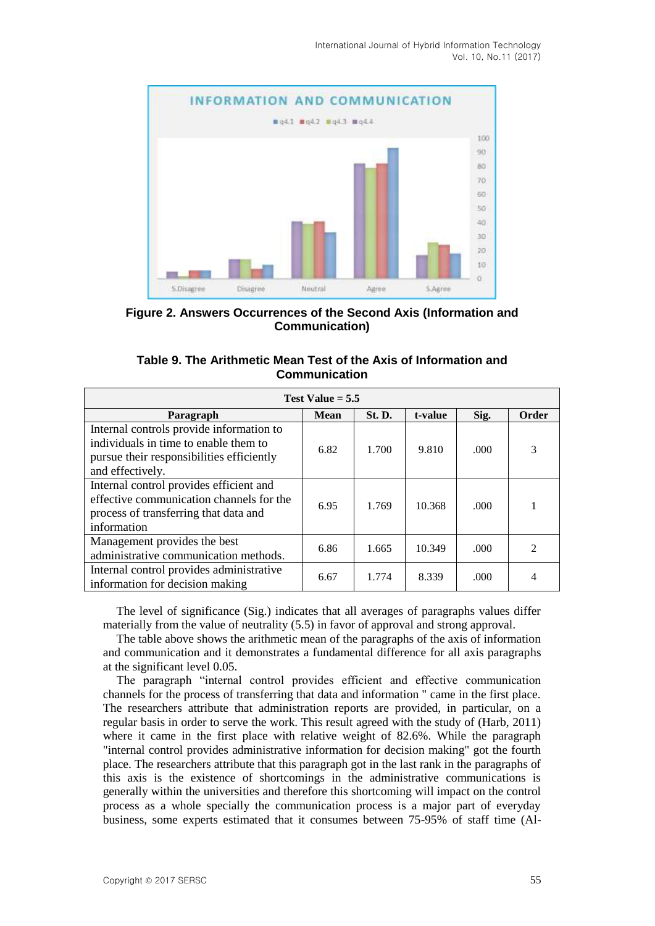

**Figure 2. Answers Occurrences of the Second Axis (Information and Communication)**

| Table 9. The Arithmetic Mean Test of the Axis of Information and |
|------------------------------------------------------------------|
| <b>Communication</b>                                             |

| Test Value $= 5.5$                                                                                                                                 |      |               |         |      |                             |  |
|----------------------------------------------------------------------------------------------------------------------------------------------------|------|---------------|---------|------|-----------------------------|--|
| Paragraph                                                                                                                                          | Mean | <b>St. D.</b> | t-value | Sig. | Order                       |  |
| Internal controls provide information to<br>individuals in time to enable them to<br>pursue their responsibilities efficiently<br>and effectively. | 6.82 | 1.700         | 9.810   | .000 | 3                           |  |
| Internal control provides efficient and<br>effective communication channels for the<br>process of transferring that data and<br>information        | 6.95 | 1.769         | 10.368  | .000 |                             |  |
| Management provides the best<br>administrative communication methods.                                                                              | 6.86 | 1.665         | 10.349  | .000 | $\mathcal{D}_{\mathcal{L}}$ |  |
| Internal control provides administrative<br>information for decision making                                                                        | 6.67 | 1.774         | 8.339   | .000 | 4                           |  |

The level of significance (Sig.) indicates that all averages of paragraphs values differ materially from the value of neutrality (5.5) in favor of approval and strong approval.

The table above shows the arithmetic mean of the paragraphs of the axis of information and communication and it demonstrates a fundamental difference for all axis paragraphs at the significant level 0.05.

The paragraph "internal control provides efficient and effective communication channels for the process of transferring that data and information " came in the first place. The researchers attribute that administration reports are provided, in particular, on a regular basis in order to serve the work. This result agreed with the study of (Harb, 2011) where it came in the first place with relative weight of 82.6%. While the paragraph "internal control provides administrative information for decision making" got the fourth place. The researchers attribute that this paragraph got in the last rank in the paragraphs of this axis is the existence of shortcomings in the administrative communications is generally within the universities and therefore this shortcoming will impact on the control process as a whole specially the communication process is a major part of everyday business, some experts estimated that it consumes between 75-95% of staff time (Al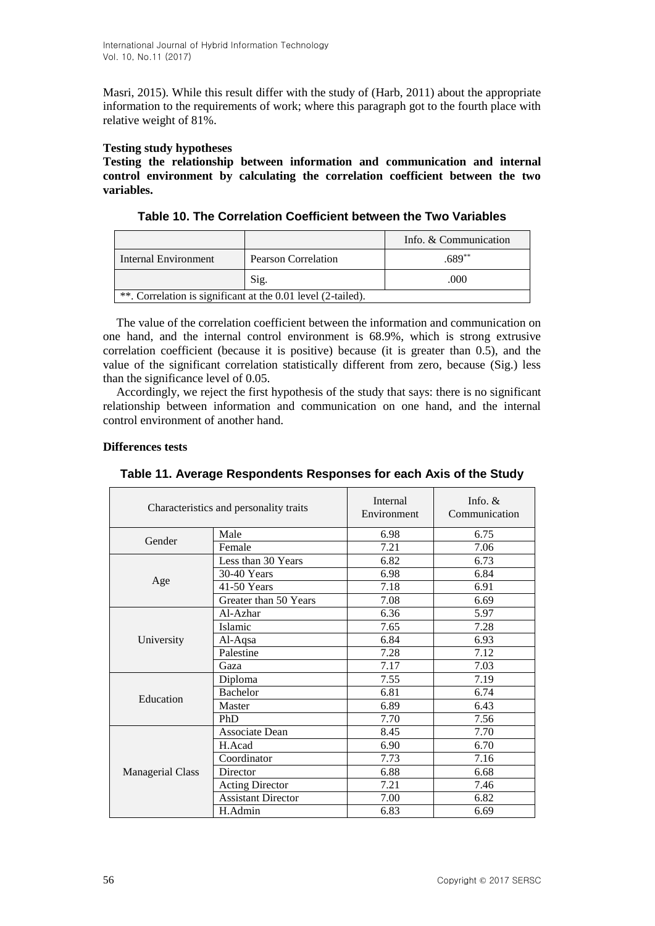Masri, 2015). While this result differ with the study of (Harb, 2011) about the appropriate information to the requirements of work; where this paragraph got to the fourth place with relative weight of 81%.

#### **Testing study hypotheses**

**Testing the relationship between information and communication and internal control environment by calculating the correlation coefficient between the two variables.**

|                                                              |                            | Info. & Communication |  |  |  |  |
|--------------------------------------------------------------|----------------------------|-----------------------|--|--|--|--|
| Internal Environment                                         | <b>Pearson Correlation</b> | $.689**$              |  |  |  |  |
|                                                              | Sig.                       | .000                  |  |  |  |  |
| **. Correlation is significant at the 0.01 level (2-tailed). |                            |                       |  |  |  |  |

**Table 10. The Correlation Coefficient between the Two Variables**

The value of the correlation coefficient between the information and communication on one hand, and the internal control environment is 68.9%, which is strong extrusive correlation coefficient (because it is positive) because (it is greater than 0.5), and the value of the significant correlation statistically different from zero, because (Sig.) less than the significance level of 0.05.

Accordingly, we reject the first hypothesis of the study that says: there is no significant relationship between information and communication on one hand, and the internal control environment of another hand.

#### **Differences tests**

| Characteristics and personality traits |                                                                                                                                                                                                                                                                          | Internal<br>Environment | Info. $&$<br>Communication |
|----------------------------------------|--------------------------------------------------------------------------------------------------------------------------------------------------------------------------------------------------------------------------------------------------------------------------|-------------------------|----------------------------|
| Gender                                 | Male                                                                                                                                                                                                                                                                     | 6.98                    | 6.75                       |
|                                        | 7.21<br>Female<br>Less than 30 Years<br>6.82<br>30-40 Years<br>6.98<br>7.18<br>41-50 Years<br>Greater than 50 Years<br>7.08<br>Al-Azhar<br>6.36<br>7.65<br>Islamic<br>6.84<br>Al-Aqsa<br>7.28<br>Palestine<br>7.17<br>Gaza<br>7.55<br>Diploma<br><b>Bachelor</b><br>6.81 |                         | 7.06                       |
|                                        |                                                                                                                                                                                                                                                                          |                         | 6.73                       |
|                                        |                                                                                                                                                                                                                                                                          |                         | 6.84                       |
| Age                                    |                                                                                                                                                                                                                                                                          |                         | 6.91                       |
|                                        |                                                                                                                                                                                                                                                                          |                         | 6.69                       |
|                                        |                                                                                                                                                                                                                                                                          |                         | 5.97                       |
|                                        |                                                                                                                                                                                                                                                                          |                         | 7.28                       |
| University                             |                                                                                                                                                                                                                                                                          |                         | 6.93                       |
|                                        |                                                                                                                                                                                                                                                                          |                         | 7.12                       |
|                                        |                                                                                                                                                                                                                                                                          |                         | 7.03                       |
|                                        |                                                                                                                                                                                                                                                                          |                         | 7.19                       |
| Education                              |                                                                                                                                                                                                                                                                          |                         | 6.74                       |
|                                        | Master                                                                                                                                                                                                                                                                   | 6.89                    | 6.43                       |
|                                        | PhD                                                                                                                                                                                                                                                                      | 7.70                    | 7.56                       |
|                                        | Associate Dean                                                                                                                                                                                                                                                           | 8.45                    | 7.70                       |
|                                        | H.Acad                                                                                                                                                                                                                                                                   | 6.90                    | 6.70                       |
|                                        | Coordinator                                                                                                                                                                                                                                                              | 7.73                    | 7.16                       |
| <b>Managerial Class</b>                | Director                                                                                                                                                                                                                                                                 | 6.88                    | 6.68                       |
|                                        | <b>Acting Director</b>                                                                                                                                                                                                                                                   | 7.21                    | 7.46                       |
|                                        | <b>Assistant Director</b>                                                                                                                                                                                                                                                | 7.00                    | 6.82                       |
|                                        | H.Admin                                                                                                                                                                                                                                                                  | 6.83                    | 6.69                       |

**Table 11. Average Respondents Responses for each Axis of the Study**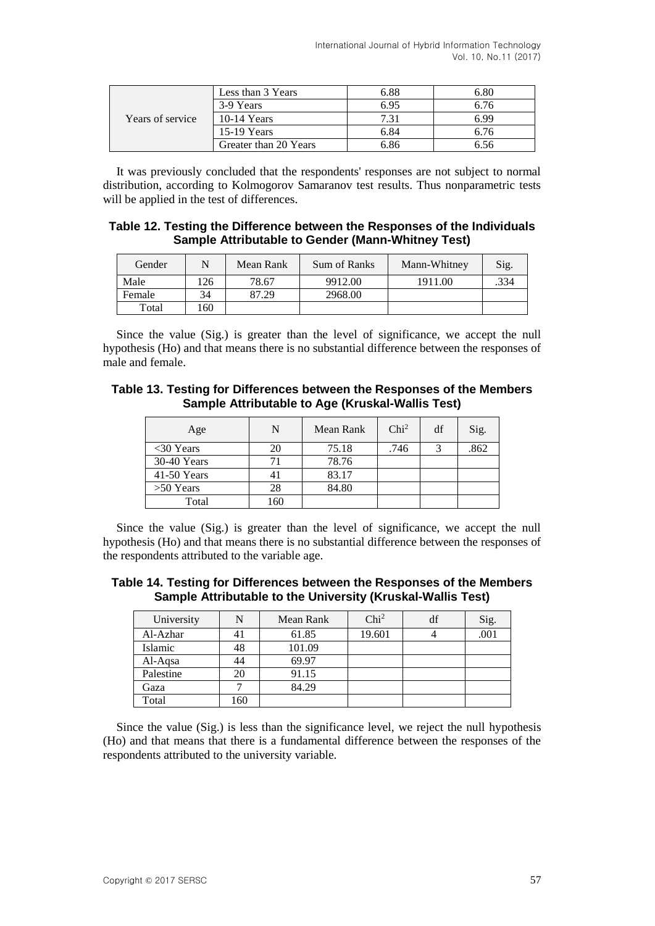| Years of service | Less than 3 Years     | 6.88 | 6.80  |
|------------------|-----------------------|------|-------|
|                  | 3-9 Years             | 6.95 | 6.76  |
|                  | $10-14$ Years         | 7.31 | 699   |
|                  | $15-19$ Years         | 6.84 | h. 76 |
|                  | Greater than 20 Years | 6.86 |       |

It was previously concluded that the respondents' responses are not subject to normal distribution, according to Kolmogorov Samaranov test results. Thus nonparametric tests will be applied in the test of differences.

#### **Table 12. Testing the Difference between the Responses of the Individuals Sample Attributable to Gender (Mann-Whitney Test)**

| Gender | N   | Mean Rank | Sum of Ranks | Mann-Whitney | Sig. |
|--------|-----|-----------|--------------|--------------|------|
| Male   | 26  | 78.67     | 9912.00      | 1911.00      | .334 |
| Female | 34  | 87.29     | 2968.00      |              |      |
| Total  | -60 |           |              |              |      |

Since the value (Sig.) is greater than the level of significance, we accept the null hypothesis (Ho) and that means there is no substantial difference between the responses of male and female.

### **Table 13. Testing for Differences between the Responses of the Members Sample Attributable to Age (Kruskal-Wallis Test)**

| Age           | N   | Mean Rank | Chi <sup>2</sup> | df | Sig. |
|---------------|-----|-----------|------------------|----|------|
| $<30$ Years   | 20  | 75.18     | .746             |    | .862 |
| 30-40 Years   |     | 78.76     |                  |    |      |
| $41-50$ Years |     | 83.17     |                  |    |      |
| $>50$ Years   | 28  | 84.80     |                  |    |      |
| Total         | 160 |           |                  |    |      |

Since the value (Sig.) is greater than the level of significance, we accept the null hypothesis (Ho) and that means there is no substantial difference between the responses of the respondents attributed to the variable age.

#### **Table 14. Testing for Differences between the Responses of the Members Sample Attributable to the University (Kruskal-Wallis Test)**

| University |     | Mean Rank | Chi <sup>2</sup> | df | Sig. |
|------------|-----|-----------|------------------|----|------|
| Al-Azhar   |     | 61.85     | 19.601           |    | .001 |
| Islamic    | 48  | 101.09    |                  |    |      |
| Al-Aqsa    | 44  | 69.97     |                  |    |      |
| Palestine  | 20  | 91.15     |                  |    |      |
| Gaza       |     | 84.29     |                  |    |      |
| Total      | 160 |           |                  |    |      |

Since the value (Sig.) is less than the significance level, we reject the null hypothesis (Ho) and that means that there is a fundamental difference between the responses of the respondents attributed to the university variable.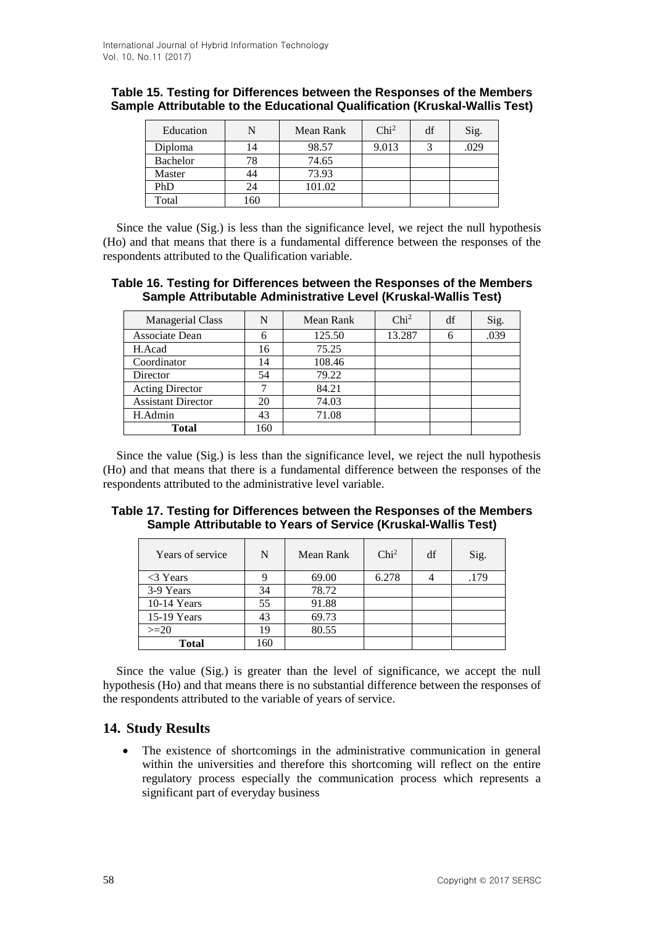| Education | N   | Mean Rank | Chi <sup>2</sup> | df | Sig. |
|-----------|-----|-----------|------------------|----|------|
| Diploma   | 14  | 98.57     | 9.013            |    | .029 |
| Bachelor  | 78  | 74.65     |                  |    |      |
| Master    | 44  | 73.93     |                  |    |      |
| PhD       | 24  | 101.02    |                  |    |      |
| Total     | .60 |           |                  |    |      |

## **Table 15. Testing for Differences between the Responses of the Members Sample Attributable to the Educational Qualification (Kruskal-Wallis Test)**

Since the value (Sig.) is less than the significance level, we reject the null hypothesis (Ho) and that means that there is a fundamental difference between the responses of the respondents attributed to the Qualification variable.

#### **Table 16. Testing for Differences between the Responses of the Members Sample Attributable Administrative Level (Kruskal-Wallis Test)**

| Managerial Class          | N   | Mean Rank | Chi <sup>2</sup> | df | Sig. |
|---------------------------|-----|-----------|------------------|----|------|
| Associate Dean            | 6   | 125.50    | 13.287           | 6  | .039 |
| H.Acad                    | 16  | 75.25     |                  |    |      |
| Coordinator               | 14  | 108.46    |                  |    |      |
| Director                  | 54  | 79.22     |                  |    |      |
| <b>Acting Director</b>    |     | 84.21     |                  |    |      |
| <b>Assistant Director</b> | 20  | 74.03     |                  |    |      |
| H.Admin                   | 43  | 71.08     |                  |    |      |
| <b>Total</b>              | 160 |           |                  |    |      |

Since the value (Sig.) is less than the significance level, we reject the null hypothesis (Ho) and that means that there is a fundamental difference between the responses of the respondents attributed to the administrative level variable.

## **Table 17. Testing for Differences between the Responses of the Members Sample Attributable to Years of Service (Kruskal-Wallis Test)**

| Years of service | N   | Mean Rank | Chi <sup>2</sup> | df | Sig. |
|------------------|-----|-----------|------------------|----|------|
| $<$ 3 Years      |     | 69.00     | 6.278            |    | .179 |
| 3-9 Years        | 34  | 78.72     |                  |    |      |
| $10-14$ Years    | 55  | 91.88     |                  |    |      |
| 15-19 Years      | 43  | 69.73     |                  |    |      |
| $>=20$           | 19  | 80.55     |                  |    |      |
| <b>Total</b>     | 160 |           |                  |    |      |

Since the value (Sig.) is greater than the level of significance, we accept the null hypothesis (Ho) and that means there is no substantial difference between the responses of the respondents attributed to the variable of years of service.

## **14. Study Results**

 The existence of shortcomings in the administrative communication in general within the universities and therefore this shortcoming will reflect on the entire regulatory process especially the communication process which represents a significant part of everyday business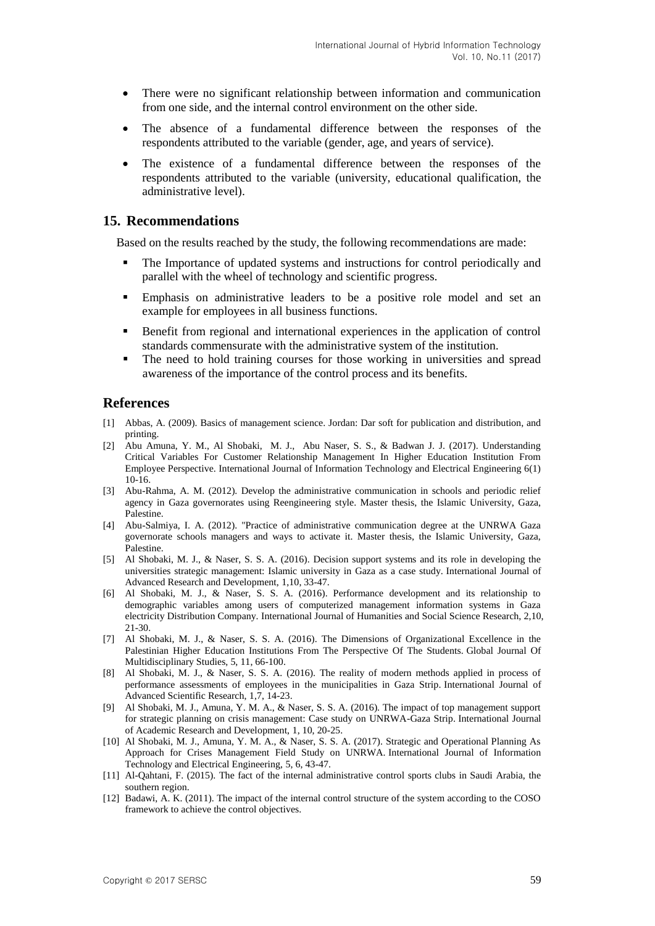- There were no significant relationship between information and communication from one side, and the internal control environment on the other side.
- The absence of a fundamental difference between the responses of the respondents attributed to the variable (gender, age, and years of service).
- The existence of a fundamental difference between the responses of the respondents attributed to the variable (university, educational qualification, the administrative level).

#### **15. Recommendations**

Based on the results reached by the study, the following recommendations are made:

- The Importance of updated systems and instructions for control periodically and parallel with the wheel of technology and scientific progress.
- Emphasis on administrative leaders to be a positive role model and set an example for employees in all business functions.
- Benefit from regional and international experiences in the application of control standards commensurate with the administrative system of the institution.
- The need to hold training courses for those working in universities and spread awareness of the importance of the control process and its benefits.

### **References**

- [1] Abbas, A. (2009). Basics of management science. Jordan: Dar soft for publication and distribution, and printing.
- [2] Abu Amuna, Y. M., Al Shobaki, M. J., Abu Naser, S. S., & Badwan J. J. (2017). Understanding Critical Variables For Customer Relationship Management In Higher Education Institution From Employee Perspective. International Journal of Information Technology and Electrical Engineering 6(1) 10-16.
- [3] Abu-Rahma, A. M. (2012). Develop the administrative communication in schools and periodic relief agency in Gaza governorates using Reengineering style. Master thesis, the Islamic University, Gaza, Palestine.
- [4] Abu-Salmiya, I. A. (2012). "Practice of administrative communication degree at the UNRWA Gaza governorate schools managers and ways to activate it. Master thesis, the Islamic University, Gaza, Palestine.
- [5] Al Shobaki, M. J., & Naser, S. S. A. (2016). Decision support systems and its role in developing the universities strategic management: Islamic university in Gaza as a case study. International Journal of Advanced Research and Development, 1,10, 33-47.
- [6] Al Shobaki, M. J., & Naser, S. S. A. (2016). Performance development and its relationship to demographic variables among users of computerized management information systems in Gaza electricity Distribution Company. International Journal of Humanities and Social Science Research, 2,10, 21-30.
- [7] Al Shobaki, M. J., & Naser, S. S. A. (2016). The Dimensions of Organizational Excellence in the Palestinian Higher Education Institutions From The Perspective Of The Students. Global Journal Of Multidisciplinary Studies, 5, 11, 66-100.
- [8] Al Shobaki, M. J., & Naser, S. S. A. (2016). The reality of modern methods applied in process of performance assessments of employees in the municipalities in Gaza Strip. International Journal of Advanced Scientific Research, 1,7, 14-23.
- [9] Al Shobaki, M. J., Amuna, Y. M. A., & Naser, S. S. A. (2016). The impact of top management support for strategic planning on crisis management: Case study on UNRWA-Gaza Strip. International Journal of Academic Research and Development, 1, 10, 20-25.
- [10] Al Shobaki, M. J., Amuna, Y. M. A., & Naser, S. S. A. (2017). Strategic and Operational Planning As Approach for Crises Management Field Study on UNRWA. International Journal of Information Technology and Electrical Engineering, 5, 6, 43-47.
- [11] Al-Qahtani, F. (2015). The fact of the internal administrative control sports clubs in Saudi Arabia, the southern region.
- [12] Badawi, A. K. (2011). The impact of the internal control structure of the system according to the COSO framework to achieve the control objectives.